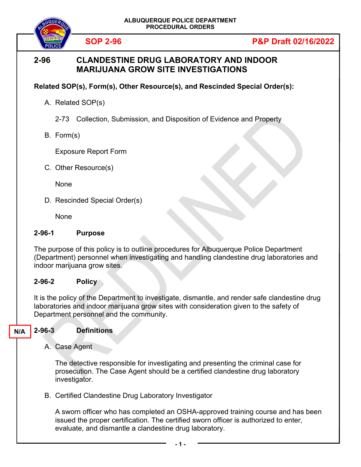

# **2-96 CLANDESTINE DRUG LABORATORY AND INDOOR MARIJUANA GROW SITE INVESTIGATIONS**

## **Related SOP(s), Form(s), Other Resource(s), and Rescinded Special Order(s):**

A. Related SOP(s)

2-73 Collection, Submission, and Disposition of Evidence and Property

B. Form(s)

Exposure Report Form

C. Other Resource(s)

None

D. Rescinded Special Order(s)

None

### **2-96-1 Purpose**

The purpose of this policy is to outline procedures for Albuquerque Police Department (Department) personnel when investigating and handling clandestine drug laboratories and indoor marijuana grow sites.

#### **2-96-2 Policy**

It is the policy of the Department to investigate, dismantle, and render safe clandestine drug laboratories and indoor marijuana grow sites with consideration given to the safety of Department personnel and the community.

#### **2-96-3 Definitions N/A**

A. Case Agent

The detective responsible for investigating and presenting the criminal case for prosecution. The Case Agent should be a certified clandestine drug laboratory investigator.

B. Certified Clandestine Drug Laboratory Investigator

A sworn officer who has completed an OSHA-approved training course and has been issued the proper certification. The certified sworn officer is authorized to enter, evaluate, and dismantle a clandestine drug laboratory.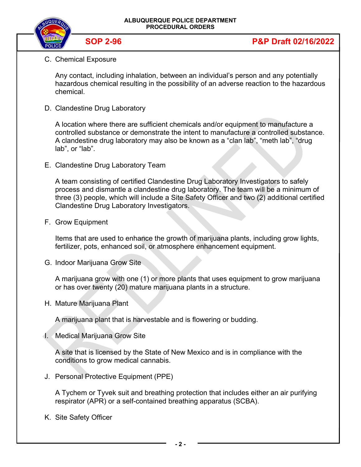

C. Chemical Exposure

Any contact, including inhalation, between an individual's person and any potentially hazardous chemical resulting in the possibility of an adverse reaction to the hazardous chemical.

D. Clandestine Drug Laboratory

A location where there are sufficient chemicals and/or equipment to manufacture a controlled substance or demonstrate the intent to manufacture a controlled substance. A clandestine drug laboratory may also be known as a "clan lab", "meth lab", "drug lab", or "lab".

E. Clandestine Drug Laboratory Team

A team consisting of certified Clandestine Drug Laboratory Investigators to safely process and dismantle a clandestine drug laboratory. The team will be a minimum of three (3) people, which will include a Site Safety Officer and two (2) additional certified Clandestine Drug Laboratory Investigators.

F. Grow Equipment

Items that are used to enhance the growth of marijuana plants, including grow lights, fertilizer, pots, enhanced soil, or atmosphere enhancement equipment.

G. Indoor Marijuana Grow Site

A marijuana grow with one (1) or more plants that uses equipment to grow marijuana or has over twenty (20) mature marijuana plants in a structure.

H. Mature Marijuana Plant

A marijuana plant that is harvestable and is flowering or budding.

I. Medical Marijuana Grow Site

A site that is licensed by the State of New Mexico and is in compliance with the conditions to grow medical cannabis.

J. Personal Protective Equipment (PPE)

A Tychem or Tyvek suit and breathing protection that includes either an air purifying respirator (APR) or a self-contained breathing apparatus (SCBA).

K. Site Safety Officer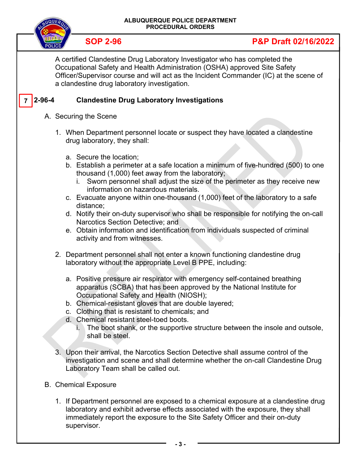

# **SOP 2-96 P&P Draft 02/16/2022**

A certified Clandestine Drug Laboratory Investigator who has completed the Occupational Safety and Health Administration (OSHA) approved Site Safety Officer/Supervisor course and will act as the Incident Commander (IC) at the scene of a clandestine drug laboratory investigation.

#### **Clandestine Drug Laboratory Investigations 7**

- A. Securing the Scene
	- 1. When Department personnel locate or suspect they have located a clandestine drug laboratory, they shall:
		- a. Secure the location;
		- b. Establish a perimeter at a safe location a minimum of five-hundred (500) to one thousand (1,000) feet away from the laboratory;
			- i. Sworn personnel shall adjust the size of the perimeter as they receive new information on hazardous materials.
		- c. Evacuate anyone within one-thousand (1,000) feet of the laboratory to a safe distance;
		- d. Notify their on-duty supervisor who shall be responsible for notifying the on-call Narcotics Section Detective; and
		- e. Obtain information and identification from individuals suspected of criminal activity and from witnesses.
	- 2. Department personnel shall not enter a known functioning clandestine drug laboratory without the appropriate Level B PPE, including:
		- a. Positive pressure air respirator with emergency self-contained breathing apparatus (SCBA) that has been approved by the National Institute for Occupational Safety and Health (NIOSH);
		- b. Chemical-resistant gloves that are double layered;
		- c. Clothing that is resistant to chemicals; and
		- d. Chemical resistant steel-toed boots.
			- i. The boot shank, or the supportive structure between the insole and outsole, shall be steel.
	- 3. Upon their arrival, the Narcotics Section Detective shall assume control of the investigation and scene and shall determine whether the on-call Clandestine Drug Laboratory Team shall be called out.
- B. Chemical Exposure
	- 1. If Department personnel are exposed to a chemical exposure at a clandestine drug laboratory and exhibit adverse effects associated with the exposure, they shall immediately report the exposure to the Site Safety Officer and their on-duty supervisor.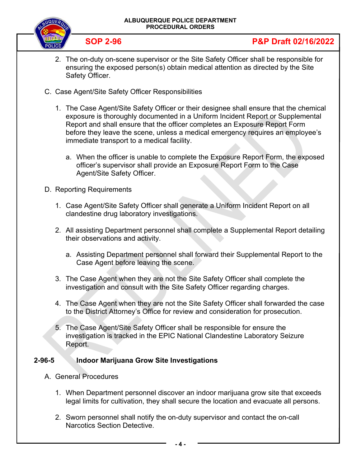

# **SOP 2-96 P&P Draft 02/16/2022**

- 2. The on-duty on-scene supervisor or the Site Safety Officer shall be responsible for ensuring the exposed person(s) obtain medical attention as directed by the Site Safety Officer.
- C. Case Agent/Site Safety Officer Responsibilities
	- 1. The Case Agent/Site Safety Officer or their designee shall ensure that the chemical exposure is thoroughly documented in a Uniform Incident Report or Supplemental Report and shall ensure that the officer completes an Exposure Report Form before they leave the scene, unless a medical emergency requires an employee's immediate transport to a medical facility.
		- a. When the officer is unable to complete the Exposure Report Form, the exposed officer's supervisor shall provide an Exposure Report Form to the Case Agent/Site Safety Officer.
- D. Reporting Requirements
	- 1. Case Agent/Site Safety Officer shall generate a Uniform Incident Report on all clandestine drug laboratory investigations.
	- 2. All assisting Department personnel shall complete a Supplemental Report detailing their observations and activity.
		- a. Assisting Department personnel shall forward their Supplemental Report to the Case Agent before leaving the scene.
	- 3. The Case Agent when they are not the Site Safety Officer shall complete the investigation and consult with the Site Safety Officer regarding charges.
	- 4. The Case Agent when they are not the Site Safety Officer shall forwarded the case to the District Attorney's Office for review and consideration for prosecution.
	- 5. The Case Agent/Site Safety Officer shall be responsible for ensure the investigation is tracked in the EPIC National Clandestine Laboratory Seizure Report.

### **2-96-5 Indoor Marijuana Grow Site Investigations**

- A. General Procedures
	- 1. When Department personnel discover an indoor marijuana grow site that exceeds legal limits for cultivation, they shall secure the location and evacuate all persons.
	- 2. Sworn personnel shall notify the on-duty supervisor and contact the on-call Narcotics Section Detective.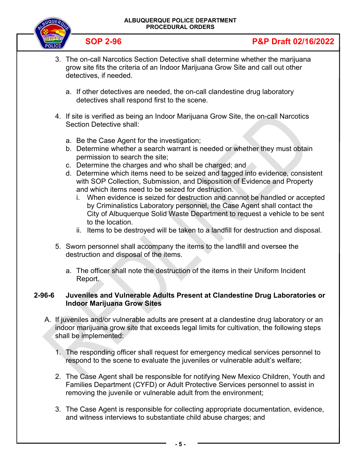

# **SOP 2-96 P&P Draft 02/16/2022**

- 3. The on-call Narcotics Section Detective shall determine whether the marijuana grow site fits the criteria of an Indoor Marijuana Grow Site and call out other detectives, if needed.
	- a. If other detectives are needed, the on-call clandestine drug laboratory detectives shall respond first to the scene.
- 4. If site is verified as being an Indoor Marijuana Grow Site, the on-call Narcotics Section Detective shall:
	- a. Be the Case Agent for the investigation;
	- b. Determine whether a search warrant is needed or whether they must obtain permission to search the site;
	- c. Determine the charges and who shall be charged; and
	- d. Determine which items need to be seized and tagged into evidence, consistent with SOP Collection, Submission, and Disposition of Evidence and Property and which items need to be seized for destruction.
		- i. When evidence is seized for destruction and cannot be handled or accepted by Criminalistics Laboratory personnel, the Case Agent shall contact the City of Albuquerque Solid Waste Department to request a vehicle to be sent to the location.
		- ii. Items to be destroyed will be taken to a landfill for destruction and disposal.
- 5. Sworn personnel shall accompany the items to the landfill and oversee the destruction and disposal of the items.
	- a. The officer shall note the destruction of the items in their Uniform Incident Report.

### **2-96-6 Juveniles and Vulnerable Adults Present at Clandestine Drug Laboratories or Indoor Marijuana Grow Sites**

- A. If juveniles and/or vulnerable adults are present at a clandestine drug laboratory or an indoor marijuana grow site that exceeds legal limits for cultivation, the following steps shall be implemented:
	- 1. The responding officer shall request for emergency medical services personnel to respond to the scene to evaluate the juveniles or vulnerable adult's welfare;
	- 2. The Case Agent shall be responsible for notifying New Mexico Children, Youth and Families Department (CYFD) or Adult Protective Services personnel to assist in removing the juvenile or vulnerable adult from the environment;
	- 3. The Case Agent is responsible for collecting appropriate documentation, evidence, and witness interviews to substantiate child abuse charges; and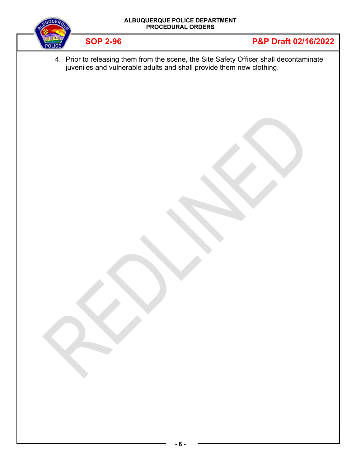



4. Prior to releasing them from the scene, the Site Safety Officer shall decontaminate juveniles and vulnerable adults and shall provide them new clothing.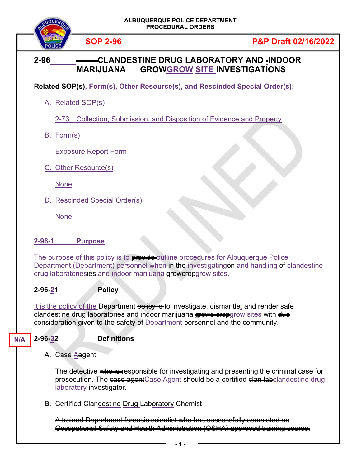

# **2-96 CLANDESTINE DRUG LABORATORY AND INDOOR MARIJUANA GROWGROW SITE INVESTIGATIONS**

**Related SOP(s), Form(s), Other Resource(s), and Rescinded Special Order(s):**

A. Related SOP(s)

2-73 Collection, Submission, and Disposition of Evidence and Property

B. Form(s)

Exposure Report Form

C. Other Resource(s)

None

D. Rescinded Special Order(s)

None

## **2-96-1 Purpose**

The purpose of this policy is to **provide** outline procedures for Albuquerque Police Department (Department) personnel when in the investigating on and handling of clandestine drug laboratoriesies and indoor marijuana growcropgrow sites.

## **2-96-21 Policy**

It is the policy of the Department policy is to investigate, dismantle, and render safe clandestine drug laboratories and indoor marijuana grows cropgrow sites with due consideration given to the safety of Department personnel and the community.

#### **2-96-32 Definitions N/A**

A. Case Aagent

The detective who is responsible for investigating and presenting the criminal case for prosecution. The case agentCase Agent should be a certified clan labclandestine drug laboratory investigator.

B. Certified Clandestine Drug Laboratory Chemist

A trained Department forensic scientist who has successfully completed an Occupational Safety and Health Administration (OSHA)-approved training course.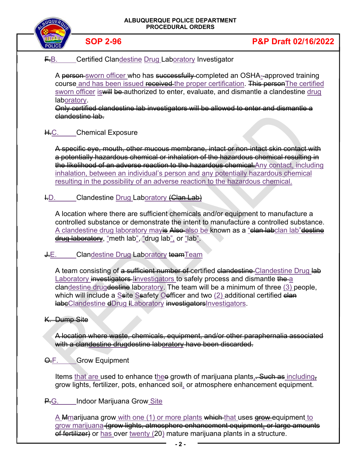

grow marijuana (grow lights, atmosphere enhancement equipment, or large amounts of fertilizer) or has over twenty (20) mature marijuana plants in a structure.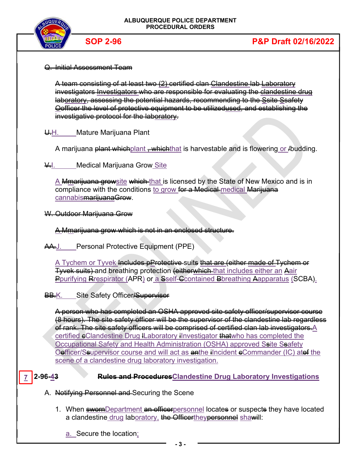

### Q. Initial Assessment Team

A team consisting of at least two (2) certified clan Clandestine lab Laboratory investigators Investigators who are responsible for evaluating the clandestine drug laboratory, assessing the potential hazards, recommending to the Ssite Ssafety Oofficer the level of protective equipment to be utilizedused, and establishing the investigative protocol for the laboratory.

U.H. Mature Marijuana Plant

A marijuana plant which plant , which that is harvestable and is flowering or /budding.

**V.I.** Medical Marijuana Grow Site

A Mmarijuana growsite which-that is licensed by the State of New Mexico and is in compliance with the conditions to grow for a Medical medical Marijuana cannabismarijuanaGrow.

W. Outdoor Marijuana Grow

A Mmarijuana grow which is not in an enclosed structure.

AA.J. Personal Protective Equipment (PPE)

A Tychem or Tyvek Includes pProtective suits that are (either made of Tychem or Tyvek suits) and breathing protection (eitherwhich that includes either an Aair Pourifying Respirator (APR) or a Sself-Ccontained Bbreathing Aapparatus (SCBA).

BB.K. Site Safety Officer/Supervisor

A person who has completed an OSHA approved site safety officer/supervisor course (8 hours). The site safety officer will be the supervisor of the clandestine lab regardless of rank. The site safety officers will be comprised of certified clan lab investigators. A certified eClandestine Drug ILaboratory iInvestigator that who has completed the Occupational Safety and Health Administration (OSHA) approved Seite Seafety Oefficer/Ssupervisor course and will act as anthe ilncident eCommander (IC) ates the scene of a clandestine drug laboratory investigation.

#### **2-96-4<del>3</del> Rules and Procedures Clandestine Drug Laboratory Investigations 7**

- A. Notifying Personnel and Securing the Scene
	- 1. When **sworn**Department an officerpersonnel locates or suspects they have located a clandestine drug laboratory, the Officertheypersonnel shawill:

a. Secure the location;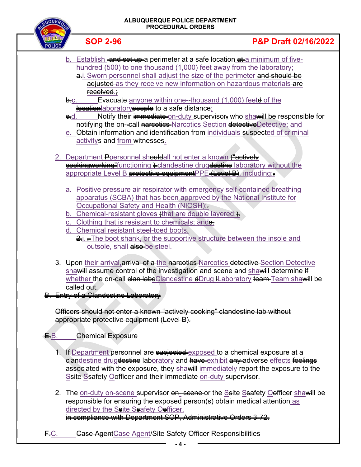

# **SOP 2-96 P&P Draft 02/16/2022**

- b. Establish and set up a perimeter at a safe location at a minimum of fivehundred (500) to one thousand (1,000) feet away from the laboratory; a.i. Sworn personnel shall adjust the size of the perimeter and should be adjusted as they receive new information on hazardous materials-are received.;
- **b.**c. Evacuate anyone within one-thousand (1,000) feetd of the location aboratory people to a safe distance;
- e-d. Notify their immediate-on-duty supervisor, who shawill be responsible for notifying the on--call narcotics-Narcotics Section detectiveDetective; and
- e. Obtain information and identification from individuals suspected of criminal activitys and from witnesses.
- 2. Department Peersonnel shouldall not enter a known ("actively eookingworking" functioning  $\frac{1}{2}$  clandestine drugdestine laboratory without the appropriate Level B protective equipmentPPE (Level B), including:
	- a. Positive pressure air respirator with emergency self-contained breathing apparatus (SCBA) that has been approved by the National Institute for Occupational Safety and Health (NIOSH);
	- b. Chemical-resistant gloves  $\#$  that are double layered; $\#$
	- Clothing that is resistant to chemicals; and
	- d. Chemical resistant steel-toed boots.
		- $\geq$ i.  $\equiv$ The boot shank, or the supportive structure between the insole and outsole, shall also be steel.
- 3. Upon their arrival, arrival of a the narcotics Narcotics detective Section Detective shawill assume control of the investigation and scene and shawill determine if whether the on-call clan labeClandestine dDrug ILaboratory team Team shawill be called out.
- B. Entry of a Clandestine Laboratory

Officers should not enter a known "actively cooking" clandestine lab without appropriate protective equipment (Level B).

- E.B. Chemical Exposure
	- 1. If Department personnel are subjected exposed to a chemical exposure at a clandestine drugdestine laboratory and have exhibit any adverse effects feelings associated with the exposure, they sha will immediately report the exposure to the Ssite Ssafety Oefficer and their immediate on-duty supervisor.
	- 2. The on-duty on-scene supervisor on scene or the Seite Seafety Oefficer shawill be responsible for ensuring the exposed person(s) obtain medical attention as directed by the Ssite Ssafety Oefficer. in compliance with Department SOP, Administrative Orders 3-72.
- F.C. Gase AgentCase Agent/Site Safety Officer Responsibilities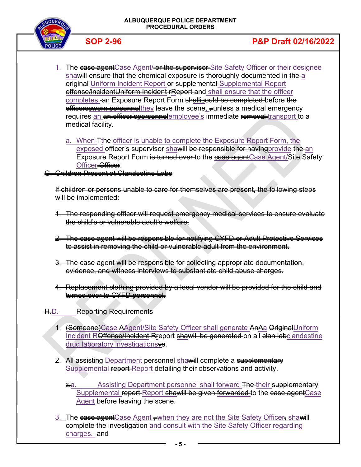

- 1. The case agent Case Agent/ or the supervisor Site Safety Officer or their designee shawill ensure that the chemical exposure is thoroughly documented in the a original Uniform Incident Report or supplemental Supplemental Report offense/incidentUniform Incident rReport-and shall ensure that the officer completes -an Exposure Report Form shallisould be completed before the officerssworn personnelthey leave the scene, -unless a medical emergency requires an an officer'spersonnelemployee's immediate removal transport to a medical facility.
	- a. When Tthe officer is unable to complete the Exposure Report Form, the exposed officer's supervisor shawill be responsible for having provide the an Exposure Report Form is turned over to the ease agentCase Agent/Site Safety Officer-Officer.

G. Children Present at Clandestine Labs

If children or persons unable to care for themselves are present, the following steps will be implemented:

- 1. The responding officer will request emergency medical services to ensure evaluate the child's or vulnerable adult's welfare.
- 2. The case agent will be responsible for notifying CYFD or Adult Protective Services to assist in removing the child or vulnerable adult from the environment.
- 3. The case agent will be responsible for collecting appropriate documentation, evidence, and witness interviews to substantiate child abuse charges.
- 4. Replacement clothing provided by a local vendor will be provided for the child and turned over to CYFD personnel.
- H.D. Reporting Requirements

J

- 1. (Someone)Case AAgent/Site Safety Officer shall generate AnAa OriginalUniform Incident ROffense/Incident Rreport shawill be generated on all clan labclandestine drug laboratory investigationsys.
- 2. All assisting Department personnel shawill complete a supplementary Supplemental report Report detailing their observations and activity.
	- 3. Assisting Department personnel shall forward The their supplementary Supplemental report Report shawill be given forwarded to the case agentCase Agent before leaving the scene.
- 3. The case agent Case Agent when they are not the Site Safety Officer, shawill complete the investigation and consult with the Site Safety Officer regarding charges. and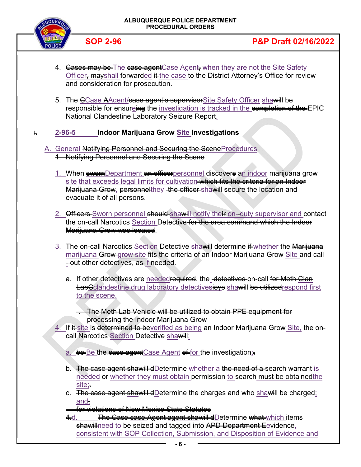

- 4. Gases may be The case agent Case Agent, when they are not the Site Safety Officer, mayshall forwarded it the case to the District Attorney's Office for review and consideration for prosecution.
- 5. The CCase AAgent/case agent's supervisor Site Safety Officer shawill be responsible for ensureing the investigation is tracked in the completion of the EPIC National Clandestine Laboratory Seizure Report.
- I. **2-96-5 Indoor Marijuana Grow Site Investigations** 
	- A. General Notifying Personnel and Securing the SceneProcedures 1. Notifying Personnel and Securing the Scene
		- 1. When swornDepartment an officerpersonnel discovers an indoor marijuana grow site that exceeds legal limits for cultivation which fits the criteria for an Indoor Marijuana Grow, personnelthey the officer shawill secure the location and evacuate it of all persons.
		- 2. Officers Sworn personnel should shawill notify their on-duty supervisor and contact the on-call Narcotics Section Detective for the area command which the Indoor Marijuana Grow was located.
		- 3. The on-call Narcotics Section Detective shawill determine if whether the Marijuana marijuana Grow grow site fits the criteria of an Indoor Marijuana Grow Site and call -out other detectives, as if needed.
			- a. If other detectives are neededrequired, the -detectives on-call for Meth Clan **LabCclandestine drug laboratory detectivesieys shawill be utilized respond first** to the scene.
				- . The Meth Lab Vehicle will be utilized to obtain PPE equipment for processing the Indoor Marijuana Grow
		- 4. If  $#$  site is determined to beverified as being an Indoor Marijuana Grow Site, the oncall Narcotics Section Detective shawill:
			- a. be Be the case agent Case Agent of for the investigation;
			- b. The case agent shawill dDetermine whether a the need of a search warrant is needed or whether they must obtain permission to search must be obtained the site;.
			- c. The case agent shawill dDetermine the charges and who shawill be charged; and.

for violations of New Mexico State Statutes

4.d. **The Case case Agent agent shawill dDetermine what which items** shawillneed to be seized and tagged into APD Department Eevidence, consistent with SOP Collection, Submission, and Disposition of Evidence and